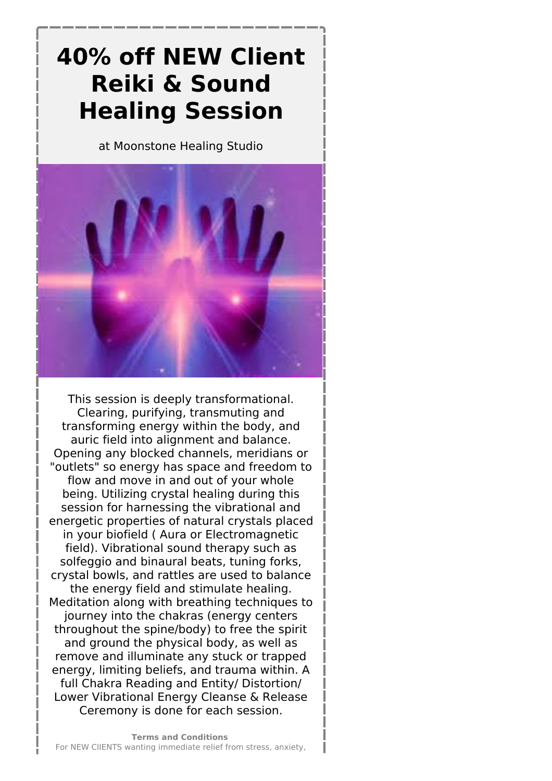## **40% off NEW Client Reiki & Sound Healing Session**

at Moonstone Healing Studio



This session is deeply transformational. Clearing, purifying, transmuting and transforming energy within the body, and auric field into alignment and balance. Opening any blocked channels, meridians or "outlets" so energy has space and freedom to flow and move in and out of your whole being. Utilizing crystal healing during this session for harnessing the vibrational and energetic properties of natural crystals placed in your biofield ( Aura or Electromagnetic field). Vibrational sound therapy such as solfeggio and binaural beats, tuning forks, crystal bowls, and rattles are used to balance the energy field and stimulate healing. Meditation along with breathing techniques to journey into the chakras (energy centers throughout the spine/body) to free the spirit and ground the physical body, as well as remove and illuminate any stuck or trapped energy, limiting beliefs, and trauma within. A full Chakra Reading and Entity/ Distortion/ Lower Vibrational Energy Cleanse & Release Ceremony is done for each session.